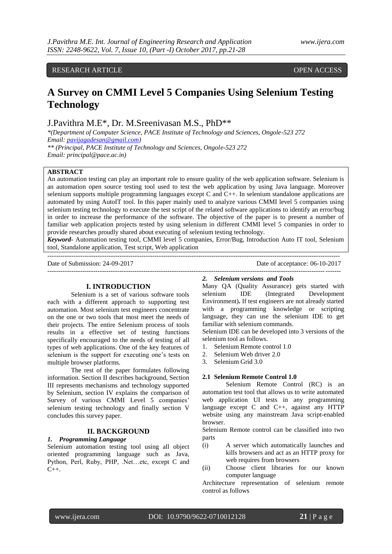# RESEARCH ARTICLE **CONTRACT ARTICLE** AND A SERVICE OPEN ACCESS OF A SERVICE OF A SERVICE OF A SERVICE OF A SERVICE OF A SERVICE OF A SERVICE OF A SERVICE OF A SERVICE OF A SERVICE OF A SERVICE OF A SERVICE OF A SERVICE OF A

# **A Survey on CMMI Level 5 Companies Using Selenium Testing Technology**

J.Pavithra M.E\*, Dr*.* M.Sreenivasan M.S., PhD\*\*

*\*(Department of Computer Science, PACE Institute of Technology and Sciences, Ongole-523 272 Email[: pavijagadesan@gmail.com\)](mailto:pavijagadesan@gmail.com) \*\* (Principal, PACE Institute of Technology and Sciences, Ongole-523 272*

*Email: principal@pace.ac.in)*

# **ABSTRACT**

An automation testing can play an important role to ensure quality of the web application software. Selenium is an automation open source testing tool used to test the web application by using Java language. Moreover selenium supports multiple programming languages except C and C++. In selenium standalone applications are automated by using AutoIT tool. In this paper mainly used to analyze various CMMI level 5 companies using selenium testing technology to execute the test script of the related software applications to identify an error/bug in order to increase the performance of the software. The objective of the paper is to present a number of familiar web application projects tested by using selenium in different CMMI level 5 companies in order to provide researches proudly shared about executing of selenium testing technology.

*Keyword-* Automation testing tool, CMMI level 5 companies, Error/Bug, Introduction Auto IT tool, Selenium tool, Standalone application, Test script, Web application --------------------------------------------------------------------------------------------------------------------------------------

Date of Submission: 24-09-2017 Date of acceptance: 06-10-2017

--------------------------------------------------------------------------------------------------------------------------------------

# **I. INTRODUCTION**

Selenium is a set of various software tools each with a different approach to supporting test automation. Most selenium test engineers concentrate on the one or two tools that most meet the needs of their projects. The entire Selenium process of tools results in a effective set of testing functions specifically encouraged to the needs of testing of all types of web applications. One of the key features of selenium is the support for executing one"s tests on multiple browser platforms.

The rest of the paper formulates following information. Section II describes background, Section III represents mechanisms and technology supported by Selenium, section IV explains the comparison of Survey of various CMMI Level 5 companies' selenium testing technology and finally section V concludes this survey paper.

## **II. BACKGROUND**

#### *1. Programming Language*

Selenium automation testing tool using all object oriented programming language such as Java, Python, Perl, Ruby, PHP, .Net…etc, except C and  $C_{++}$ .

### *2. Selenium versions and Tools*

Many QA (Quality Assurance) gets started with selenium IDE (Integrated Development Environment)**.** If test engineers are not already started with a programming knowledge or scripting language, they can use the selenium IDE to get familiar with selenium commands.

Selenium IDE can be developed into 3 versions of the selenium tool as follows.

- 1. Selenium Remote control 1.0
- 2. Selenium Web driver 2.0
- 3. Selenium Grid 3.0

# **2.1 Selenium Remote Control 1.0**

 Selenium Remote Control (RC) is an automation test tool that allows us to write automated web application UI tests in any programming language except C and C++, against any HTTP website using any mainstream Java script-enabled browser.

Selenium Remote control can be classified into two parts

- (i) A server which automatically launches and kills browsers and act as an HTTP proxy for web requires from browsers
- (ii) Choose client libraries for our known computer language

Architecture representation of selenium remote control as follows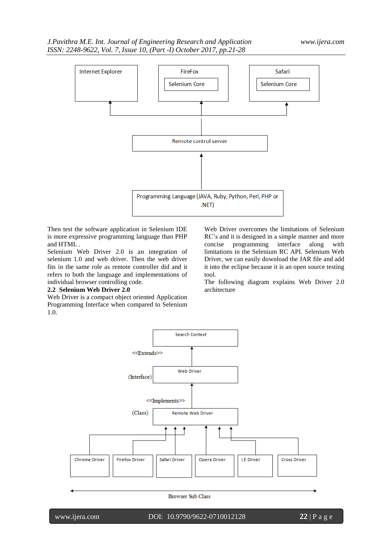

Then test the software application in Selenium IDE is more expressive programming language than PHP and HTML .

Selenium Web Driver 2.0 is an integration of selenium 1.0 and web driver. Then the web driver fits in the same role as remote controller did and it refers to both the language and implementations of individual browser controlling code.

#### **2.2 Selenium Web Driver 2.0**

Web Driver is a compact object oriented Application Programming Interface when compared to Selenium 1.0.

Web Driver overcomes the limitations of Selenium RC"s and it is designed in a simple manner and more concise programming interface along with limitations in the Selenium RC API. Selenium Web Driver, we can easily download the JAR file and add it into the eclipse because it is an open source testing tool.

The following diagram explains Web Driver 2.0 architecture



Browser Sub Class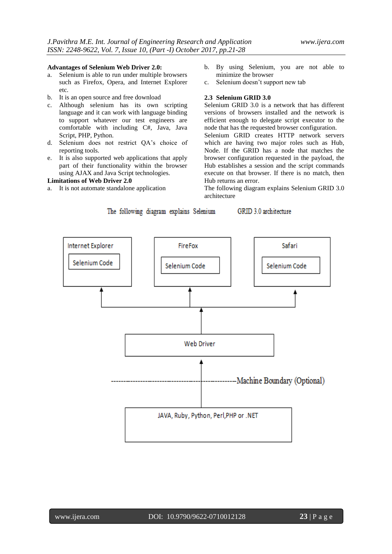The following diagram explains Selenium

#### **Advantages of Selenium Web Driver 2.0:**

- a. Selenium is able to run under multiple browsers such as Firefox, Opera, and Internet Explorer etc.
- b. It is an open source and free download
- c. Although selenium has its own scripting language and it can work with language binding to support whatever our test engineers are comfortable with including C#, Java, Java Script, PHP, Python.
- d. Selenium does not restrict QA"s choice of reporting tools.
- e. It is also supported web applications that apply part of their functionality within the browser using AJAX and Java Script technologies.

#### **Limitations of Web Driver 2.0**

a. It is not automate standalone application

- b. By using Selenium, you are not able to minimize the browser
- c. Selenium doesn"t support new tab

# **2.3 Selenium GRID 3.0**

Selenium GRID 3.0 is a network that has different versions of browsers installed and the network is efficient enough to delegate script executor to the node that has the requested browser configuration. Selenium GRID creates HTTP network servers which are having two major roles such as Hub,

Node. If the GRID has a node that matches the browser configuration requested in the payload, the Hub establishes a session and the script commands execute on that browser. If there is no match, then Hub returns an error.

The following diagram explains Selenium GRID 3.0 architecture

GRID 3.0 architecture

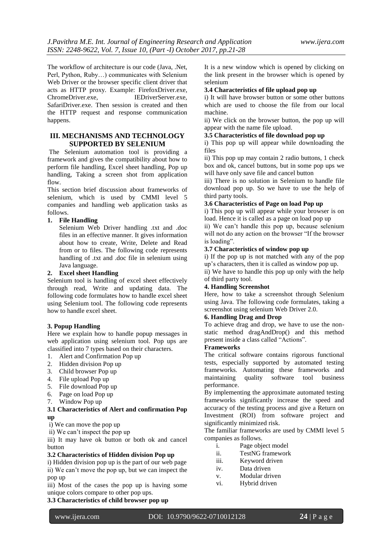The workflow of architecture is our code (Java, .Net, Perl, Python, Ruby…) communicates with Selenium Web Driver or the browser specific client driver that acts as HTTP proxy. Example: FirefoxDriver.exe, ChromeDriver.exe, IEDriverServer.exe, SafariDriver.exe. Then session is created and then the HTTP request and response communication happens.

# **III. MECHANISMS AND TECHNOLOGY SUPPORTED BY SELENIUM**

The Selenium automation tool is providing a framework and gives the compatibility about how to perform file handling, Excel sheet handling, Pop up handling, Taking a screen shot from application flow.

This section brief discussion about frameworks of selenium, which is used by CMMI level 5 companies and handling web application tasks as follows.

# **1. File Handling**

Selenium Web Driver handling .txt and .doc files in an effective manner. It gives information about how to create, Write, Delete and Read from or to files. The following code represents handling of .txt and .doc file in selenium using Java language.

#### **2. Excel sheet Handling**

Selenium tool is handling of excel sheet effectively through read, Write and updating data. The following code formulates how to handle excel sheet using Selenium tool. The following code represents how to handle excel sheet.

#### **3. Popup Handling**

Here we explain how to handle popup messages in web application using selenium tool. Pop ups are classified into 7 types based on their characters.

- 1. Alert and Confirmation Pop up
- 2. Hidden division Pop up
- 3. Child browser Pop up
- 4. File upload Pop up
- 5. File download Pop up
- 6. Page on load Pop up
- 7. Window Pop up

# **3.1 Characteristics of Alert and confirmation Pop up**

i) We can move the pop up

ii) We can"t inspect the pop up

iii) It may have ok button or both ok and cancel button

#### **3.2 Characteristics of Hidden division Pop up**

i) Hidden division pop up is the part of our web page ii) We can"t move the pop up, but we can inspect the pop up

iii) Most of the cases the pop up is having some unique colors compare to other pop ups.

# **3.3 Characteristics of child browser pop up**

It is a new window which is opened by clicking on the link present in the browser which is opened by selenium

## **3.4 Characteristics of file upload pop up**

i) It will have browser button or some other buttons which are used to choose the file from our local machine.

ii) We click on the browser button, the pop up will appear with the name file upload.

#### **3.5 Characteristics of file download pop up**

i) This pop up will appear while downloading the files

ii) This pop up may contain 2 radio buttons, 1 check box and ok, cancel buttons, but in some pop ups we will have only save file and cancel button

iii) There is no solution in Selenium to handle file download pop up. So we have to use the help of third party tools.

# **3.6 Characteristics of Page on load Pop up**

i) This pop up will appear while your browser is on load. Hence it is called as a page on load pop up

ii) We can"t handle this pop up, because selenium will not do any action on the browser "If the browser is loading".

#### **3.7 Characteristics of window pop up**

i) If the pop up is not matched with any of the pop up"s characters, then it is called as window pop up. ii) We have to handle this pop up only with the help

of third party tool.

# **4. Handling Screenshot**

Here, how to take a screenshot through Selenium using Java. The following code formulates, taking a screenshot using selenium Web Driver 2.0.

#### **6. Handling Drag and Drop**

To achieve drag and drop, we have to use the nonstatic method dragAndDrop() and this method present inside a class called "Actions".

#### **Frameworks**

The critical software contains rigorous functional tests, especially supported by automated testing frameworks. Automating these frameworks and maintaining quality software tool business performance.

By implementing the approximate automated testing frameworks significantly increase the speed and accuracy of the testing process and give a Return on Investment (ROI) from software project and significantly minimized risk.

The familiar frameworks are used by CMMI level 5 companies as follows.

- i. Page object model
- ii. TestNG framework
- iii. Keyword driven
- iv. Data driven
- v. Modular driven
- vi. Hybrid driven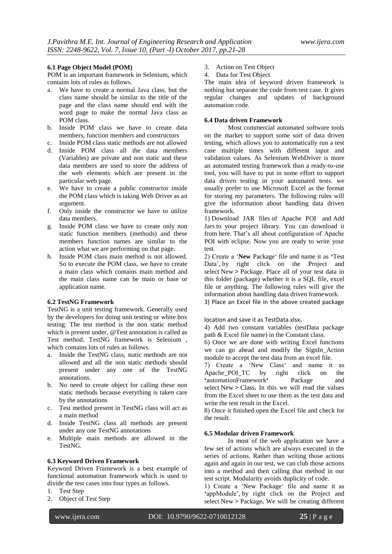### **6.1 Page Object Model (POM)**

POM is an important framework in Selenium, which contains lots of rules as follows.

- a. We have to create a normal Java class, but the class name should be similar to the title of the page and the class name should end with the word page to make the normal Java class as POM class.
- b. Inside POM class we have to create data members, function members and constructors
- c. Inside POM class static methods are not allowed
- d. Inside POM class all the data members (Variables) are private and non static and these data members are used to store the address of the web elements which are present in the particular web page.
- e. We have to create a public constructor inside the POM class which is taking Web Driver as an argument.
- f. Only inside the constructor we have to utilize data members.
- g. Inside POM class we have to create only non static function members (methods) and these members function names are similar to the action what we are performing on that page.
- h. Inside POM class main method is not allowed. So to execute the POM class, we have to create a main class which contains main method and the main class name can be main or base or application name.

# **6.2 TestNG Framework**

TestNG is a unit testing framework. Generally used by the developers for doing unit testing or white box testing. The test method is the non static method which is present under, @Test annotation is called as Test method. TestNG framework is Selenium , which contains lots of rules as follows.

- a. Inside the TestNG class, static methods are not allowed and all the non static methods should present under any one of the TestNG annotations.
- b. No need to create object for calling these non static methods because everything is taken care by the annotations
- c. Test method present in TestNG class will act as a main method
- d. Inside TestNG class all methods are present under any one TestNG annotations
- e. Multiple main methods are allowed in the TestNG.

#### **6.3 Keyword Driven Framework**

Keyword Driven Framework is a best example of functional automation framework which is used to divide the test cases into four types as follows.

- 1. Test Step
- 2. Object of Test Step
- 3. Action on Test Object
- 4. Data for Test Object.

The main idea of keyword driven framework is nothing but separate the code from test case. It gives regular changes and updates of background automation code.

# **6.4 Data driven Framework**

Most commercial automated software tools on the market to support some sort of data driven testing, which allows you to automatically run a test case multiple times with different input and validation values. As Selenium WebDriver is more an automated testing framework than a ready-to-use tool, you will have to put in some effort to support data driven testing in your automated tests. we usually prefer to use Microsoft Excel as the format for storing my parameters. The following rules will give the information about handling data driven framework.

1) [Download JAR files](http://toolsqa.wpengine.com/selenium-webdriver/download-apache-poi/) of Apache POI and [Add](http://toolsqa.wpengine.com/selenium-webdriver/add-apache-poi-jars/)  [Jars](http://toolsqa.wpengine.com/selenium-webdriver/add-apache-poi-jars/) to your project library. You can download it from [here.](http://poi.apache.org/) That"s all about configuration of Apache POI with eclipse. Now you are ready to write your test.

2) Create a "**New** [Package"](http://toolsqa.wpengine.com/selenium-webdriver/configure-eclipse-with-selenium-webdriver/#package) file and name it as **'**Test Data', by right click on the Project and select New **>** Package. Place all of your test data in this folder (package) whether it is a SQL file, excel file or anything. The following rules will give the information about handling data driven framework.

3) Place an Excel file in the above created package

location and save it as TestData.xlsx**.**

4) Add two constant variables (testData package path & Excel file name) in the Constant class.

6) Once we are done with writing Excel functions we can go ahead and modify the SignIn\_Action module to accept the test data from an excel file.

7) Create a ["New Class"](http://toolsqa.wpengine.com/selenium-webdriver/configure-eclipse-with-selenium-webdriver/#class) and name it as Apache POI TC by right click on the **'**automationFramework**'** Package and select New **>** Class**.** In this we will read the values from the Excel sheet to use them as the test data and write the test result in the Excel.

8) Once it finished open the Excel file and check for the result.

## **6.5 Modular driven Framework**

In most of the web application we have a few set of actions which are always executed in the series of actions. Rather than writing those actions again and again in our test, we can club those actions into a method and then calling that method in our test script. Modularity avoids duplicity of code.

1) Create a ["New Package"](http://toolsqa.wpengine.com/selenium-webdriver/configure-eclipse-with-selenium-webdriver/#package) file and name it as **'**appModule", by right click on the Project and select New **>** Package**.** We will be creating different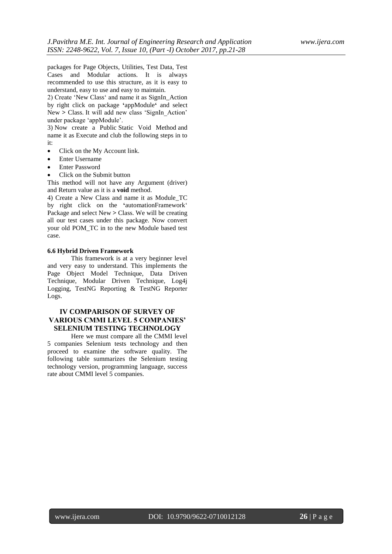packages for Page Objects, Utilities, Test Data, Test Cases and Modular actions. It is always recommended to use this structure, as it is easy to understand, easy to use and easy to maintain.

2) Create ["New Class"](http://toolsqa.wpengine.com/selenium-webdriver/configure-eclipse-with-selenium-webdriver/#class) and name it as SignIn\_Action by right click on package **'**appModule**'** and select New > Class. It will add new class 'SignIn Action' under package "appModule".

3) Now create a Public Static Void Method and name it as Execute and club the following steps in to it:

- Click on the My Account link.
- Enter Username
- Enter Password
- Click on the Submit button

This method will not have any Argument (driver) and Return value as it is a **void** method.

4) Create a [New Class](http://toolsqa.wpengine.com/selenium-webdriver/configure-eclipse-with-selenium-webdriver/#class) and name it as Module\_TC by right click on the **'**automationFramework" Package and select New **>** Class. We will be creating all our test cases under this package. Now convert your old [POM\\_TC](http://toolsqa.wpengine.com/selenium-webdriver/page-object-model/) in to the new Module based test case.

#### **6.6 Hybrid Driven Framework**

This framework is at a very beginner level and very easy to understand. This implements the Page Object Model Technique, Data Driven Technique, Modular Driven Technique, Log4j Logging, TestNG Reporting & TestNG Reporter Logs.

# **IV COMPARISON OF SURVEY OF VARIOUS CMMI LEVEL 5 COMPANIES' SELENIUM TESTING TECHNOLOGY**

Here we must compare all the CMMI level 5 companies Selenium tests technology and then proceed to examine the software quality. The following table summarizes the Selenium testing technology version, programming language, success rate about CMMI level 5 companies.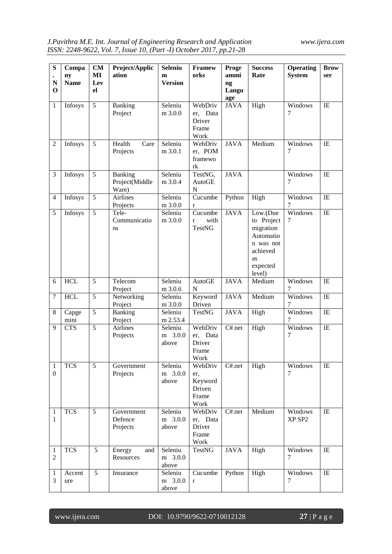| S<br>${\bf N}$<br>$\bf{0}$     | Compa<br>ny<br><b>Name</b> | CM<br>MI<br>Lev<br>el | Project/Applic<br>ation            | <b>Seleniu</b><br>m<br><b>Version</b> | <b>Framew</b><br>orks                                | Progr<br>ammi<br>ng<br>Langu<br>age | <b>Success</b><br>Rate                                                                                | <b>Operating</b><br><b>System</b> | <b>Brow</b><br>ser |
|--------------------------------|----------------------------|-----------------------|------------------------------------|---------------------------------------|------------------------------------------------------|-------------------------------------|-------------------------------------------------------------------------------------------------------|-----------------------------------|--------------------|
| $\mathbf{1}$                   | Infosys                    | 5                     | Banking<br>Project                 | Seleniu<br>m 3.0.0                    | WebDriv<br>er, Data<br>Driver<br>Frame<br>Work       | <b>JAVA</b>                         | High                                                                                                  | Windows<br>7                      | IE                 |
| 2                              | Infosys                    | 5                     | Health<br>Care<br>Projects         | Seleniu<br>m 3.0.1                    | WebDriv<br>er, POM<br>framewo<br>rk                  | <b>JAVA</b>                         | Medium                                                                                                | Windows<br>7                      | IE                 |
| 3                              | Infosys                    | 5                     | Banking<br>Project(Middle<br>Ware) | Seleniu<br>m 3.0.4                    | TestNG,<br>AutoGE<br>$\mathbf N$                     | <b>JAVA</b>                         |                                                                                                       | Windows<br>7                      | IE                 |
| $\overline{4}$                 | Infosys                    | $\overline{5}$        | <b>Airlines</b><br>Projects        | Seleniu<br>m 3.0.0                    | $\overline{\text{C}}$ ucumbe<br>$\mathbf{r}$         | Python                              | High                                                                                                  | Windows<br>7                      | IE                 |
| 5                              | Infosys                    | 5                     | Tele-<br>Communicatio<br>ns        | Seleniu<br>m 3.0.0                    | Cucumbe<br>with<br>$\mathbf{r}$<br><b>TestNG</b>     | <b>JAVA</b>                         | Low.(Due<br>to Project<br>migration<br>Automatio<br>n was not<br>achieved<br>as<br>expected<br>level) | Windows<br>7                      | IE                 |
| 6                              | <b>HCL</b>                 | 5                     | Telecom<br>Project                 | Seleniu<br>m 3.0.6                    | AutoGE<br>${\bf N}$                                  | <b>JAVA</b>                         | Medium                                                                                                | Windows<br>7                      | IE                 |
| 7                              | <b>HCL</b>                 | 5                     | Networking<br>Project              | Seleniu<br>m 3.0.0                    | Keyword<br>Driven                                    | <b>JAVA</b>                         | Medium                                                                                                | Windows<br>7                      | IE                 |
| 8                              | Capge<br>mini              | 5                     | Banking<br>Project                 | Seleniu<br>m 2.53.4                   | <b>TestNG</b>                                        | <b>JAVA</b>                         | High                                                                                                  | Windows<br>7                      | IE                 |
| 9                              | <b>CTS</b>                 | 5                     | <b>Airlines</b><br>Projects        | Seleniu<br>m 3.0.0<br>above           | WebDriv<br>er, Data<br>Driver<br>Frame<br>Work       | C#.net                              | High                                                                                                  | Windows<br>7                      | IE                 |
| 1<br>$\overline{0}$            | <b>TCS</b>                 | 5                     | Government<br>Projects             | Seleniu<br>m 3.0.0<br>above           | WebDriv<br>er,<br>Keyword<br>Driven<br>Frame<br>Work | C#.net                              | High                                                                                                  | Windows<br>7                      | IE                 |
| $\mathbf{1}$<br>1              | <b>TCS</b>                 | $\overline{5}$        | Government<br>Defence<br>Projects  | Seleniu<br>3.0.0<br>m<br>above        | WebDriv<br>er, Data<br>Driver<br>Frame<br>Work       | C#.net                              | Medium                                                                                                | Windows<br>XP SP2                 | IE                 |
| $\mathbf{1}$<br>$\overline{2}$ | <b>TCS</b>                 | 5                     | Energy<br>and<br>Resources         | Seleniu<br>m 3.0.0<br>above           | <b>TestNG</b>                                        | <b>JAVA</b>                         | High                                                                                                  | Windows<br>7                      | IE                 |
| 1<br>3                         | Accent<br>ure              | 5                     | Insurance                          | Seleniu<br>m 3.0.0<br>above           | Cucumbe<br>$\mathbf r$                               | Python                              | High                                                                                                  | Windows<br>7                      | IE                 |